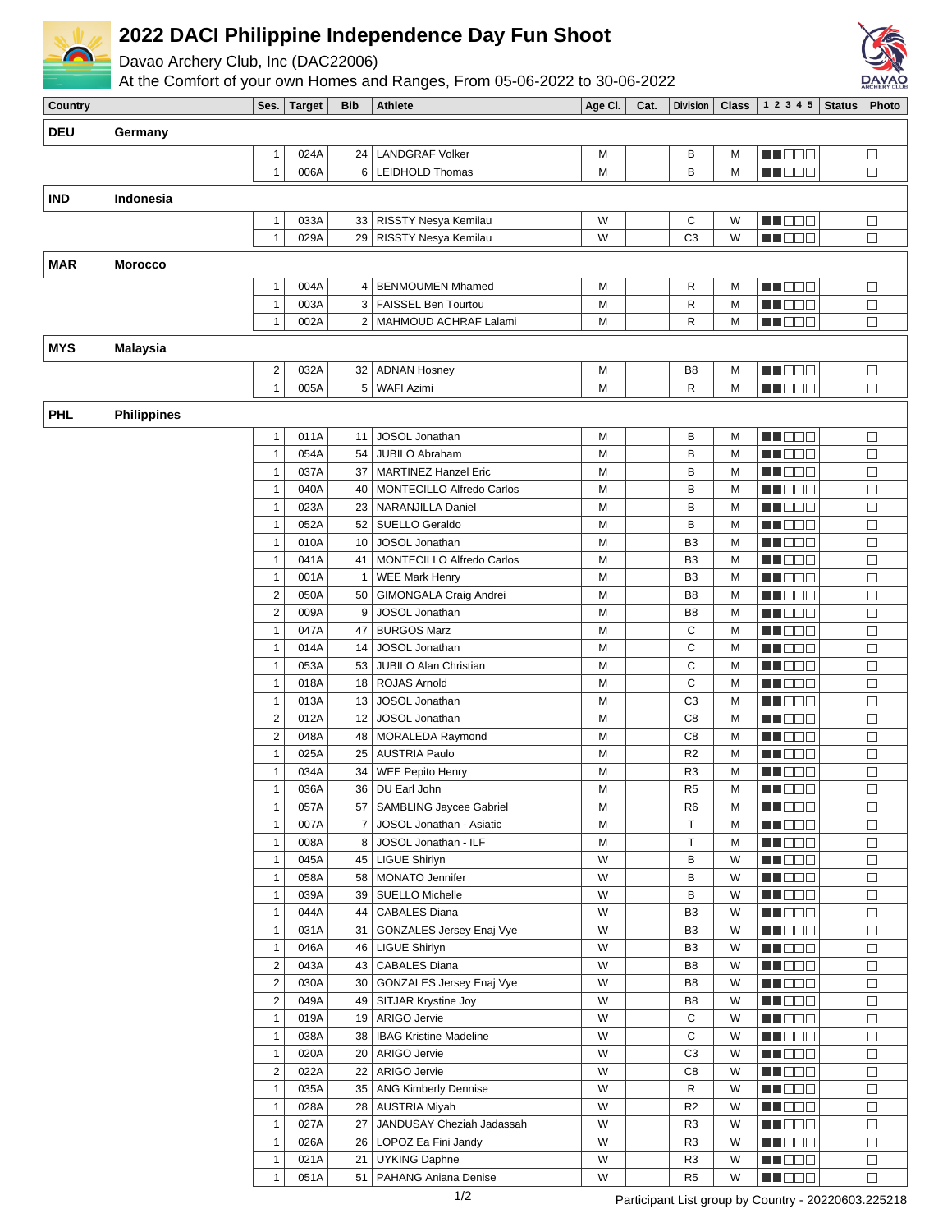

## **2022 DACI Philippine Independence Day Fun Shoot**

Davao Archery Club, Inc (DAC22006)

At the Comfort of your own Homes and Ranges, From 05-06-2022 to 30-06-2022



| <b>Country</b>        |                    | Ses.                    | <b>Target</b> | <b>Bib</b>     | <b>Athlete</b>                   | Age CI. | Cat. | <b>Division</b> | <b>Class</b> | 1 2 3 4 5                                                                                                           | <b>Status</b> | Photo             |
|-----------------------|--------------------|-------------------------|---------------|----------------|----------------------------------|---------|------|-----------------|--------------|---------------------------------------------------------------------------------------------------------------------|---------------|-------------------|
| <b>DEU</b><br>Germany |                    |                         |               |                |                                  |         |      |                 |              |                                                                                                                     |               |                   |
|                       |                    |                         |               |                |                                  |         |      |                 |              |                                                                                                                     |               |                   |
|                       |                    | 1                       | 024A          | 24             | <b>LANDGRAF Volker</b>           | M       |      | В               | М            | M DE O                                                                                                              |               | □                 |
|                       |                    | $\mathbf{1}$            | 006A          |                | 6   LEIDHOLD Thomas              | M       |      | B               | M            | MA BEL                                                                                                              |               | $\Box$            |
| <b>IND</b>            | Indonesia          |                         |               |                |                                  |         |      |                 |              |                                                                                                                     |               |                   |
|                       |                    | 1                       | 033A          | 33             | RISSTY Nesya Kemilau             | W       |      | С               | W            | N DE E                                                                                                              |               | $\Box$            |
|                       |                    | $\mathbf{1}$            | 029A          | 29             | RISSTY Nesya Kemilau             | W       |      | C <sub>3</sub>  | W            | n i Biblio                                                                                                          |               | $\Box$            |
|                       |                    |                         |               |                |                                  |         |      |                 |              |                                                                                                                     |               |                   |
| <b>MAR</b>            | <b>Morocco</b>     |                         |               |                |                                  |         |      |                 |              |                                                                                                                     |               |                   |
|                       |                    | 1                       | 004A          | $\overline{4}$ | <b>BENMOUMEN Mhamed</b>          | M       |      | R               | M            | MA BEL                                                                                                              |               | $\Box$            |
|                       |                    | $\mathbf{1}$            | 003A          | 3              | <b>FAISSEL Ben Tourtou</b>       | M       |      | R               | M            | M DE O                                                                                                              |               | $\Box$            |
|                       |                    | $\mathbf{1}$            | 002A          |                | 2   MAHMOUD ACHRAF Lalami        | M       |      | R               | М            | MOO O                                                                                                               |               | $\Box$            |
| <b>MYS</b>            | <b>Malaysia</b>    |                         |               |                |                                  |         |      |                 |              |                                                                                                                     |               |                   |
|                       |                    | $\overline{\mathbf{c}}$ | 032A          | 32             | <b>ADNAN Hosney</b>              | M       |      | B <sub>8</sub>  | M            | MA BEL                                                                                                              |               | $\Box$            |
|                       |                    | $\mathbf{1}$            | 005A          |                | 5 WAFI Azimi                     | M       |      | R               | М            | M NO D                                                                                                              |               | $\Box$            |
|                       |                    |                         |               |                |                                  |         |      |                 |              |                                                                                                                     |               |                   |
| <b>PHL</b>            | <b>Philippines</b> |                         |               |                |                                  |         |      |                 |              |                                                                                                                     |               |                   |
|                       |                    | 1                       | 011A          | 11             | JOSOL Jonathan                   | M       |      | В               | М            | MA DELL'                                                                                                            |               | $\Box$            |
|                       |                    | $\mathbf{1}$            | 054A          | 54             | JUBILO Abraham                   | M       |      | В               | M            | THE EA                                                                                                              |               | $\Box$            |
|                       |                    | $\mathbf{1}$            | 037A          | 37             | <b>MARTINEZ Hanzel Eric</b>      | M       |      | В               | M            | <b>MADDO</b>                                                                                                        |               | $\Box$            |
|                       |                    | $\mathbf{1}$            | 040A          | 40             | <b>MONTECILLO Alfredo Carlos</b> | M       |      | В               | M            | en de la p                                                                                                          |               | $\Box$            |
|                       |                    | $\mathbf{1}$            | 023A          | 23             | <b>NARANJILLA Daniel</b>         | M       |      | B               | M            | MU DO S                                                                                                             |               | $\Box$            |
|                       |                    | $\mathbf{1}$            | 052A          | 52             | SUELLO Geraldo                   | M       |      | В               | M            | THE EL                                                                                                              |               | $\Box$            |
|                       |                    | $\mathbf{1}$            | 010A          | 10             | JOSOL Jonathan                   | M       |      | B <sub>3</sub>  | M            | THE EL                                                                                                              |               | $\Box$            |
|                       |                    | $\mathbf{1}$            | 041A          | 41             | MONTECILLO Alfredo Carlos        | M       |      | B <sub>3</sub>  | М            | en de la p                                                                                                          |               | $\Box$            |
|                       |                    | $\mathbf{1}$            | 001A          | $\mathbf{1}$   | <b>WEE Mark Henry</b>            | M       |      | B <sub>3</sub>  | М            | en de la p                                                                                                          |               | $\Box$            |
|                       |                    | $\boldsymbol{2}$        | 050A          | 50             | GIMONGALA Craig Andrei           | M       |      | B <sub>8</sub>  | М            | M DE O                                                                                                              |               | $\Box$            |
|                       |                    | $\mathbf 2$             | 009A          | 9              | JOSOL Jonathan                   | M       |      | B <sub>8</sub>  | M            | THE E                                                                                                               |               | $\Box$            |
|                       |                    | $\mathbf{1}$            | 047A          | 47             | <b>BURGOS Marz</b>               | M       |      | С               | M            | N DE E                                                                                                              |               | $\Box$            |
|                       |                    | $\mathbf{1}$            | 014A          | 14             | JOSOL Jonathan                   | M       |      | C               | M            | e de la construcción de la construcción de la construcción de la construcción de la construcción de la construcción |               | $\Box$            |
|                       |                    | $\mathbf{1}$            | 053A          | 53             | <b>JUBILO Alan Christian</b>     | M       |      | C               | M            | MU O O O                                                                                                            |               | $\Box$            |
|                       |                    | $\mathbf{1}$            | 018A          | 18             | <b>ROJAS Arnold</b>              | M       |      | C               | M            | N I O O O                                                                                                           |               | $\Box$            |
|                       |                    | $\mathbf{1}$            | 013A          | 13             | JOSOL Jonathan                   | M       |      | C <sub>3</sub>  | М            | en de la p                                                                                                          |               | $\Box$            |
|                       |                    | $\overline{c}$          | 012A          | 12             | JOSOL Jonathan                   | M       |      | C <sub>8</sub>  | М            | a de la p                                                                                                           |               | $\Box$            |
|                       |                    | $\mathbf 2$             | 048A          | 48             | MORALEDA Raymond                 | M       |      | C <sub>8</sub>  | М            | MI OO E                                                                                                             |               | $\Box$            |
|                       |                    | $\mathbf{1}$            | 025A          | 25             | <b>AUSTRIA Paulo</b>             | M       |      | R <sub>2</sub>  | М            | MA 880                                                                                                              |               | $\Box$            |
|                       |                    | 1                       | 034A          | 34             | <b>WEE Pepito Henry</b>          | M       |      | R <sub>3</sub>  | M            | MA OO E                                                                                                             |               | $\Box$            |
|                       |                    | 1                       | 036A          | 36             | DU Earl John                     | М       |      | R <sub>5</sub>  | М            | <b>HE</b> OOO                                                                                                       |               | $\overline{\Box}$ |
|                       |                    | $\mathbf{1}$            | 057A          |                | 57   SAMBLING Jaycee Gabriel     | М       |      | R <sub>6</sub>  | М            | MUOOO                                                                                                               |               | $\Box$            |
|                       |                    | $\mathbf{1}$            | 007A          |                | 7 JOSOL Jonathan - Asiatic       | М       |      | Т               | М            | MN O O O                                                                                                            |               | □                 |
|                       |                    | $\mathbf{1}$            | 008A          |                | 8 JOSOL Jonathan - ILF           | M       |      | T               | М            | MN O O O                                                                                                            |               | $\Box$            |
|                       |                    | $\mathbf{1}$            | 045A          |                | 45   LIGUE Shirlyn               | W       |      | B               | W            | <u>Li Bee</u>                                                                                                       |               | $\Box$            |
|                       |                    | $\mathbf{1}$            | 058A          |                | 58   MONATO Jennifer             | W       |      | B               | W            | N NO DEI                                                                                                            |               | $\Box$            |
|                       |                    | $\mathbf{1}$            | 039A          |                | 39   SUELLO Michelle             | W       |      | B               | W            | MU O O O                                                                                                            |               | $\Box$            |
|                       |                    | $\mathbf{1}$            | 044A          |                | 44   CABALES Diana               | W       |      | B <sub>3</sub>  | W            | MN DE B                                                                                                             |               | $\Box$            |
|                       |                    | $\mathbf{1}$            | 031A          |                | 31   GONZALES Jersey Enaj Vye    | W       |      | B <sub>3</sub>  | W            | <b>RECOR</b>                                                                                                        |               | $\Box$            |
|                       |                    | $\mathbf{1}$            | 046A          |                | 46   LIGUE Shirlyn               | W       |      | B <sub>3</sub>  | W            | MU DO O                                                                                                             |               | $\Box$            |
|                       |                    | $\mathbf 2$             | 043A          |                | 43   CABALES Diana               | W       |      | B <sub>8</sub>  | W            | MU DO B                                                                                                             |               | $\Box$            |
|                       |                    | $\mathbf 2$             | 030A          |                | 30 GONZALES Jersey Enaj Vye      | W       |      | B <sub>8</sub>  | W            | MN O O O                                                                                                            |               | $\Box$            |
|                       |                    | $\overline{\mathbf{c}}$ | 049A          |                | 49   SITJAR Krystine Joy         | W       |      | B <sub>8</sub>  | W            | <b>MARGE</b>                                                                                                        |               | $\Box$            |
|                       |                    | $\mathbf{1}$            | 019A          |                | 19 ARIGO Jervie                  | W       |      | С               | W            | <u>Li Sec</u>                                                                                                       |               | $\Box$            |
|                       |                    | $\mathbf{1}$            | 038A          |                | 38   IBAG Kristine Madeline      | W       |      | C               | W            | MUODO                                                                                                               |               | $\Box$            |
|                       |                    | $\mathbf{1}$            | 020A          |                | 20 ARIGO Jervie                  | W       |      | C <sub>3</sub>  | W            | MA O O O                                                                                                            |               | $\Box$            |
|                       |                    | $\overline{\mathbf{c}}$ | 022A          |                | 22 ARIGO Jervie                  | W       |      | C8              | W            | MN O O O                                                                                                            |               | $\Box$            |
|                       |                    | $\mathbf{1}$            | 035A          |                | 35 ANG Kimberly Dennise          | W       |      | R               | W            | <b>MA</b> OO O                                                                                                      |               | $\Box$            |
|                       |                    | $\mathbf{1}$            | 028A          |                | 28   AUSTRIA Miyah               | W       |      | R <sub>2</sub>  | W            | MU DO D                                                                                                             |               | $\Box$            |
|                       |                    | $\mathbf{1}$            | 027A          |                | 27 JANDUSAY Cheziah Jadassah     | W       |      | R <sub>3</sub>  | W            | MNO OB                                                                                                              |               | □                 |
|                       |                    | $\mathbf{1}$            | 026A          |                | 26   LOPOZ Ea Fini Jandy         | W       |      | R <sub>3</sub>  | W            | NN O O O                                                                                                            |               | $\Box$            |
|                       |                    | $\mathbf{1}$            | 021A          | 21             | <b>UYKING Daphne</b>             | W       |      | R <sub>3</sub>  | W            | <b>MA</b> OOO                                                                                                       |               | $\Box$            |
|                       |                    | 1                       | 051A          |                | 51   PAHANG Aniana Denise        | W       |      | R <sub>5</sub>  | W            | <u>LI OOO</u>                                                                                                       |               | $\Box$            |